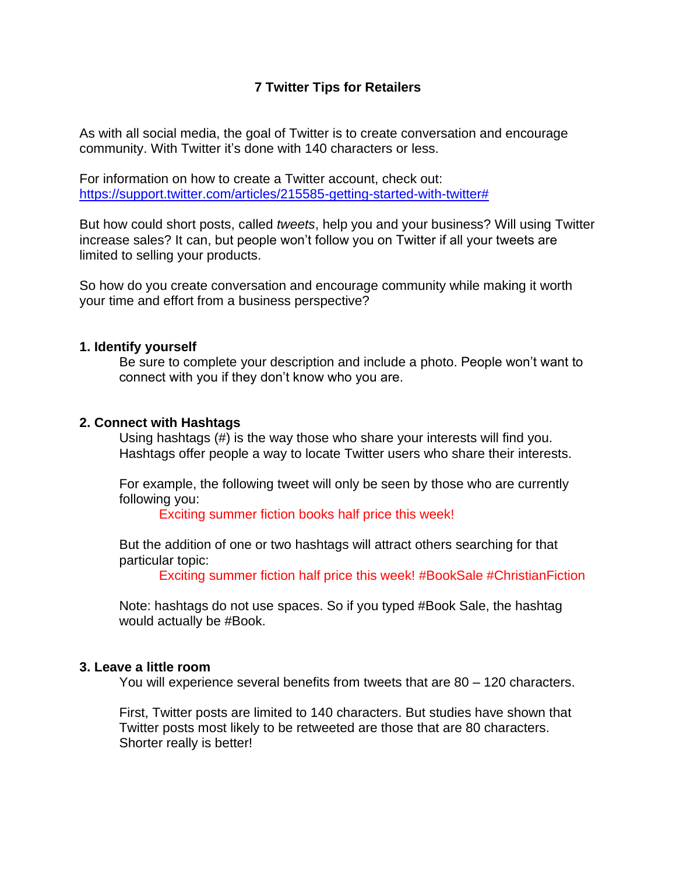# **7 Twitter Tips for Retailers**

As with all social media, the goal of Twitter is to create conversation and encourage community. With Twitter it's done with 140 characters or less.

For information on how to create a Twitter account, check out: [https://support.twitter.com/articles/215585-getting-started-with-twitter#](https://support.twitter.com/articles/215585-getting-started-with-twitter)

But how could short posts, called *tweets*, help you and your business? Will using Twitter increase sales? It can, but people won't follow you on Twitter if all your tweets are limited to selling your products.

So how do you create conversation and encourage community while making it worth your time and effort from a business perspective?

#### **1. Identify yourself**

Be sure to complete your description and include a photo. People won't want to connect with you if they don't know who you are.

#### **2. Connect with Hashtags**

Using hashtags (#) is the way those who share your interests will find you. Hashtags offer people a way to locate Twitter users who share their interests.

For example, the following tweet will only be seen by those who are currently following you:

Exciting summer fiction books half price this week!

But the addition of one or two hashtags will attract others searching for that particular topic:

Exciting summer fiction half price this week! #BookSale #ChristianFiction

Note: hashtags do not use spaces. So if you typed #Book Sale, the hashtag would actually be #Book.

#### **3. Leave a little room**

You will experience several benefits from tweets that are 80 – 120 characters.

First, Twitter posts are limited to 140 characters. But studies have shown that Twitter posts most likely to be retweeted are those that are 80 characters. Shorter really is better!